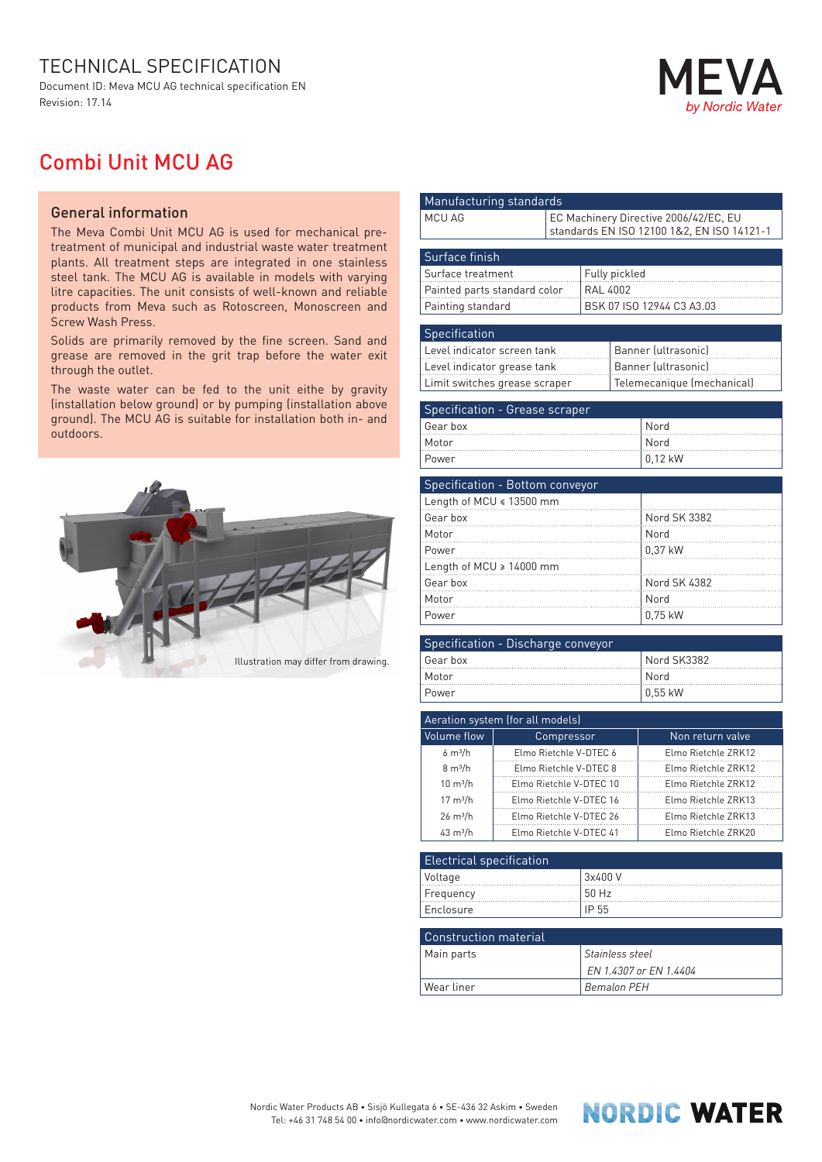## TECHNICAL SPECIFICATION

Document ID: Meva MCU AG technical specification EN Revision: 17.14

## **Nordic Water**

## Combi Unit MCU AG

## General information

The Meva Combi Unit MCU AG is used for mechanical pretreatment of municipal and industrial waste water treatment plants. All treatment steps are integrated in one stainless steel tank. The MCU AG is available in models with varying litre capacities. The unit consists of well-known and reliable products from Meva such as Rotoscreen, Monoscreen and Screw Wash Press.

Solids are primarily removed by the fine screen. Sand and grease are removed in the grit trap before the water exit through the outlet.

The waste water can be fed to the unit eithe by gravity (installation below ground) or by pumping (installation above ground). The MCU AG is suitable for installation both in- and outdoors.



|                                          | Manufacturing standards                            |                            |                                              |  |  |
|------------------------------------------|----------------------------------------------------|----------------------------|----------------------------------------------|--|--|
| MCU AG                                   |                                                    |                            | EC Machinery Directive 2006/42/EC, EU        |  |  |
|                                          |                                                    |                            | standards EN ISO 12100 1&2, EN ISO 14121-1   |  |  |
|                                          |                                                    |                            |                                              |  |  |
| Surface finish                           |                                                    |                            |                                              |  |  |
| Surface treatment                        |                                                    | Fully pickled              |                                              |  |  |
|                                          | Painted parts standard color                       | <b>RAL 4002</b>            |                                              |  |  |
| Painting standard                        |                                                    |                            | BSK 07 ISO 12944 C3 A3.03                    |  |  |
| Specification                            |                                                    |                            |                                              |  |  |
| Level indicator screen tank              |                                                    |                            | Banner (ultrasonic)                          |  |  |
| Level indicator grease tank              |                                                    |                            | Banner (ultrasonic)                          |  |  |
|                                          | Limit switches grease scraper                      | Telemecanique (mechanical) |                                              |  |  |
|                                          |                                                    |                            |                                              |  |  |
|                                          | Specification - Grease scraper                     |                            |                                              |  |  |
| Gear box                                 |                                                    |                            | Nord                                         |  |  |
| Motor                                    |                                                    |                            | Nord                                         |  |  |
| Power                                    |                                                    |                            | 0,12 kW                                      |  |  |
|                                          |                                                    |                            |                                              |  |  |
|                                          | Specification - Bottom conveyor                    |                            |                                              |  |  |
| Length of MCU ≤ 13500 mm<br>Gear box     |                                                    |                            | Nord SK 3382                                 |  |  |
| Motor                                    |                                                    |                            | Nord                                         |  |  |
| Power                                    |                                                    |                            | 0,37 kW                                      |  |  |
| Length of MCU ≥ 14000 mm                 |                                                    |                            |                                              |  |  |
| Gear box                                 |                                                    |                            | <b>Nord SK 4382</b>                          |  |  |
|                                          |                                                    |                            | Nord                                         |  |  |
| Motor                                    |                                                    |                            | 0,75 kW                                      |  |  |
| Power                                    |                                                    |                            |                                              |  |  |
|                                          | Specification - Discharge conveyor                 |                            |                                              |  |  |
| Gear box                                 |                                                    |                            | Nord SK3382                                  |  |  |
| Motor                                    |                                                    |                            | Nord                                         |  |  |
| Power                                    |                                                    |                            | 0,55 kW                                      |  |  |
|                                          |                                                    |                            |                                              |  |  |
|                                          | Aeration system (for all models)                   |                            |                                              |  |  |
| <b>Volume flow</b>                       | Compressor                                         |                            | Non return valve                             |  |  |
| $6 \text{ m}^3/h$<br>8 m <sup>3</sup> /h | Elmo Rietchle V-DTEC 6                             |                            | Elmo Rietchle ZRK12                          |  |  |
| $10 \text{ m}^3/h$                       | Elmo Rietchle V-DTEC 8                             |                            | Elmo Rietchle ZRK12<br>Elmo Rietchle ZRK12   |  |  |
| $17 \text{ m}^3/h$                       | Elmo Rietchle V-DTEC 10<br>Elmo Rietchle V-DTEC 16 |                            | Elmo Rietchle ZRK13                          |  |  |
| $26 \text{ m}^3/h$                       | Elmo Rietchle V-DTEC 26                            |                            | Elmo Rietchle ZRK13                          |  |  |
| 43 m <sup>3</sup> /h                     | Elmo Rietchle V-DTEC 41                            |                            | Elmo Rietchle ZRK20                          |  |  |
|                                          |                                                    |                            |                                              |  |  |
| <b>Electrical specification</b>          |                                                    |                            |                                              |  |  |
| Voltage                                  |                                                    | 3x400 V                    |                                              |  |  |
| Frequency                                |                                                    | 50 Hz                      |                                              |  |  |
| Enclosure<br>IP 55                       |                                                    |                            |                                              |  |  |
|                                          |                                                    |                            |                                              |  |  |
| <b>Construction material</b>             |                                                    |                            |                                              |  |  |
| Main parts                               |                                                    | Stainless steel            |                                              |  |  |
|                                          |                                                    |                            | EN 1.4307 or EN 1.4404<br><b>Bemalon PEH</b> |  |  |
| Wear liner                               |                                                    |                            |                                              |  |  |

**NORDIC WATER**